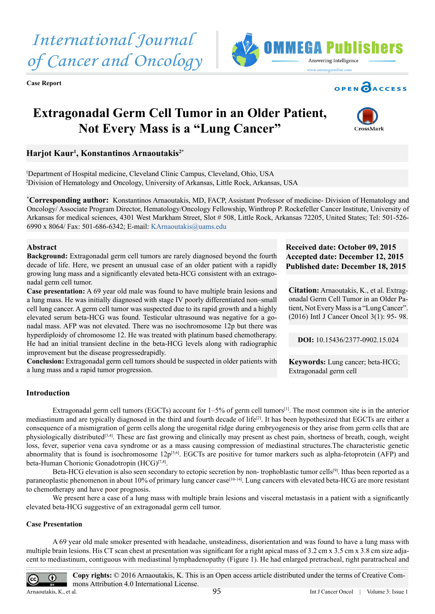**Case Report**

# **Extragonadal Germ Cell Tumor in an Older Patient, Not Every Mass is a "Lung Cancer"**

## **Harjot Kaur1 , Konstantinos Arnaoutakis2\***

1 Department of Hospital medicine, Cleveland Clinic Campus, Cleveland, Ohio, USA 2 Division of Hematology and Oncology, University of Arkansas, Little Rock, Arkansas, USA

**\* Corresponding author:** Konstantinos Arnaoutakis, MD, FACP, Assistant Professor of medicine- Division of Hematology and Oncology/ Associate Program Director, Hematology/Oncology Fellowship, Winthrop P. Rockefeller Cancer Institute, University of Arkansas for medical sciences, 4301 West Markham Street, Slot # 508, Little Rock, Arkansas 72205, United States; Tel: 501-526- 6990 x 8064/ Fax: 501-686-6342; E-mail: [KArnaoutakis@uams.edu](mailto:KArnaoutakis@uams.edu)

## **Abstract**

**Background:** Extragonadal germ cell tumors are rarely diagnosed beyond the fourth decade of life. Here, we present an unusual case of an older patient with a rapidly growing lung mass and a significantly elevated beta-HCG consistent with an extragonadal germ cell tumor.

**Case presentation:** A 69 year old male was found to have multiple brain lesions and a lung mass. He was initially diagnosed with stage IV poorly differentiated non–small cell lung cancer. A germ cell tumor was suspected due to its rapid growth and a highly elevated serum beta-HCG was found. Testicular ultrasound was negative for a gonadal mass. AFP was not elevated. There was no isochromosome 12p but there was hyperdiploidy of chromosome 12. He was treated with platinum based chemotherapy. He had an initial transient decline in the beta-HCG levels along with radiographic improvement but the disease progressedrapidly.

**Conclusion:** Extragonadal germ cell tumors should be suspected in older patients with a lung mass and a rapid tumor progression.

## **Received date: October 09, 2015 Accepted date: December 12, 2015 Published date: December 18, 2015**

**Citation:** Arnaoutakis, K., et al. Extragonadal Germ Cell Tumor in an Older Patient, Not Every Mass is a "Lung Cancer". (2016) Intl J Cancer Oncol 3(1): 95- 98.

**DOI:** [10.15436/2377-0902.15.0](http://www.dx.doi.org/10.15436/2377-0902.15.024)24

**Keywords:** Lung cancer; beta-HCG; Extragonadal germ cell

## **Introduction**

Extragonadal germ cell tumors (EGCTs) account for  $1-5%$  of germ cell tumors<sup>[1]</sup>. The most common site is in the anterior mediastinum and are typically diagnosed in the third and fourth decade of life<sup>[\[2\]](#page-2-1)</sup>. It has been hypothesized that EGCTs are either a consequence of a mismigration of germ cells along the urogenital ridge during embryogenesis or they arise from germ cells that are physiologically distributed<sup>[3,4]</sup>. These are fast growing and clinically may present as chest pain, shortness of breath, cough, weight loss, fever, superior vena cava syndrome or as a mass causing compression of mediastinal structures.The characteristic genetic abnormality that is found is isochromosome  $12p^{[5,6]}$ . EGCTs are positive for tumor markers such as alpha-fetoprotein (AFP) and beta-Human Chorionic Gonadotropin (HCG)<sup>[7,8]</sup>.

Beta-HCG elevation is also seen secondary to ectopic secretion by non-trophoblastic tumor cells<sup>[\[9\]](#page-2-5)</sup>. Ithas been reported as a paraneoplastic phenomenon in about 10% of primary lung cancer case<sup>[\[10-14\]](#page-2-6)</sup>. Lung cancers with elevated beta-HCG are more resistant to chemotherapy and have poor prognosis.

We present here a case of a lung mass with multiple brain lesions and visceral metastasis in a patient with a significantly elevated beta-HCG suggestive of an extragonadal germ cell tumor.

## **Case Presentation**

A 69 year old male smoker presented with headache, unsteadiness, disorientation and was found to have a lung mass with multiple brain lesions. His CT scan chest at presentation was significant for a right apical mass of 3.2 cm x 3.5 cm x 3.8 cm size adjacent to mediastinum, contiguous with mediastinal lymphadenopathy (Figure 1). He had enlarged pretracheal, right paratracheal and

 $\odot$ 

Arnaoutakis, K., et al.

 $|cc|$ 



**OPEN OACCESS** 

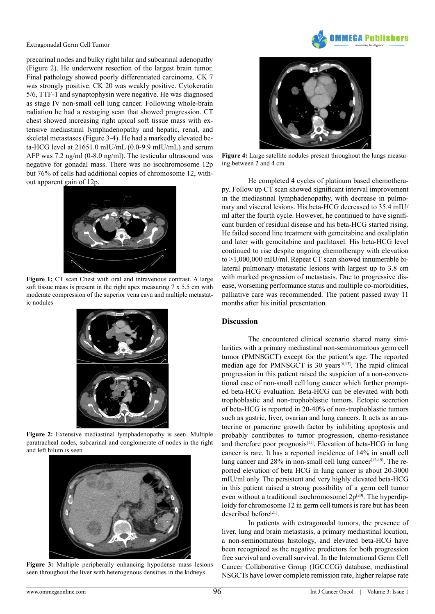

#### Extragonadal Germ Cell Tumor

precarinal nodes and bulky right hilar and subcarinal adenopathy (Figure 2). He underwent resection of the largest brain tumor. Final pathology showed poorly differentiated carcinoma. CK 7 was strongly positive. CK 20 was weakly positive. Cytokeratin 5/6, TTF-1 and synaptophysin were negative. He was diagnosed as stage IV non-small cell lung cancer. Following whole-brain radiation he had a restaging scan that showed progression. CT chest showed increasing right apical soft tissue mass with extensive mediastinal lymphadenopathy and hepatic, renal, and skeletal metastases (Figure 3-4). He had a markedly elevated beta-HCG level at 21651.0 mIU/mL (0.0-9.9 mIU/mL) and serum AFP was 7.2 ng/ml (0-8.0 ng/ml). The testicular ultrasound was negative for gonadal mass. There was no isochromosome 12p but 76% of cells had additional copies of chromosome 12, without apparent gain of 12p.



**Figure 1:** CT scan Chest with oral and intravenous contrast. A large soft tissue mass is present in the right apex measuring 7 x 5.5 cm with moderate compression of the superior vena cava and multiple metastatic nodules



**Figure 2:** Extensive mediastinal lymphadenopathy is seen. Multiple paratracheal nodes, subcarinal and conglomerate of nodes in the right and left hilum is seen



**Figure 3:** Multiple peripherally enhancing hypodense mass lesions seen throughout the liver with heterogenous densities in the kidneys



**Figure 4:** Large satellite nodules present throughout the lungs measuring between 2 and 4 cm

He completed 4 cycles of platinum based chemotherapy. Follow up CT scan showed significant interval improvement in the mediastinal lymphadenopathy, with decrease in pulmonary and visceral lesions. His beta-HCG decreased to 35.4 mIU/ ml after the fourth cycle. However, he continued to have significant burden of residual disease and his beta-HCG started rising. He failed second line treatment with gemcitabine and oxaliplatin and later with gemcitabine and paclitaxel. His beta-HCG level continued to rise despite ongoing chemotherapy with elevation to >1,000,000 mIU/ml. Repeat CT scan showed innumerable bilateral pulmonary metastatic lesions with largest up to 3.8 cm with marked progression of metastasis. Due to progressive disease, worsening performance status and multiple co-morbidities, palliative care was recommended. The patient passed away 11 months after his initial presentation.

#### **Discussion**

The encountered clinical scenario shared many similarities with a primary mediastinal non-seminomatous germ cell tumor (PMNSGCT) except for the patient's age. The reported median age for PMNSGCT is 30 years<sup>[6,13]</sup>. The rapid clinical progression in this patient raised the suspicion of a non-conventional case of non-small cell lung cancer which further prompted beta-HCG evaluation. Beta-HCG can be elevated with both trophoblastic and non-trophoblastic tumors. Ectopic secretion of beta-HCG is reported in 20-40% of non-trophoblastic tumors such as gastric, liver, ovarian and lung cancers. It acts as an autocrine or paracrine growth factor by inhibiting apoptosis and probably contributes to tumor progression, chemo-resistance and therefore poor prognosis<sup>[\[11\]](#page-2-8)</sup>. Elevation of beta-HCG in lung cancer is rare. It has a reported incidence of 14% in small cell lung cancer and 28% in non-small cell lung cancer<sup>[\[12-19\]](#page-2-9)</sup>. The reported elevation of beta HCG in lung cancer is about 20-3000 mIU/ml only. The persistent and very highly elevated beta-HCG in this patient raised a strong possibility of a germ cell tumor even without a traditional isochromosome12 $p^{[20]}$  $p^{[20]}$  $p^{[20]}$ . The hyperdiploidy for chromosome 12 in germ cell tumors is rare but has been described before<sup>[21]</sup>.

In patients with extragonadal tumors, the presence of liver, lung and brain metastasis, a primary mediastinal location, a non-seminomatous histology, and elevated beta-HCG have been recognized as the negative predictors for both progression free survival and overall survival. In the International Germ Cell Cancer Collaborative Group (IGCCCG) database, mediastinal NSGCTs have lower complete remission rate, higher relapse rate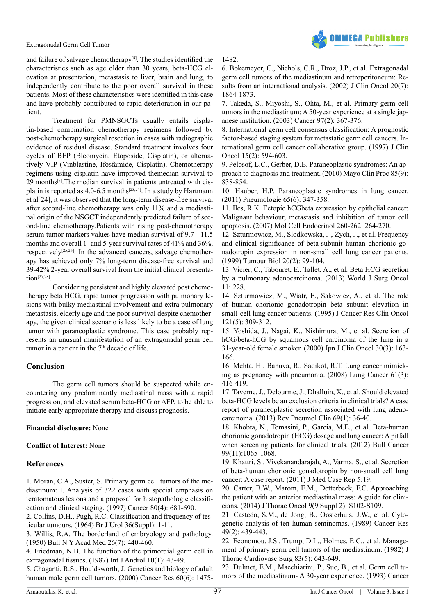

and failure of salvage chemotherapy<sup>[8]</sup>. The studies identified the characteristics such as age older than 30 years, beta-HCG elevation at presentation, metastasis to liver, brain and lung, to independently contribute to the poor overall survival in these patients. Most of these characteristics were identified in this case and have probably contributed to rapid deterioration in our patient.

Treatment for PMNSGCTs usually entails cisplatin-based combination chemotherapy regimens followed by post-chemotherapy surgical resection in cases with radiographic evidence of residual disease. Standard treatment involves four cycles of BEP (Bleomycin, Etoposide, Cisplatin), or alternatively VIP (Vinblastine, Ifosfamide, Cisplatin). Chemotherapy regimens using cisplatin have improved themedian survival to  $29$  months<sup>[7]</sup>. The median survival in patients untreated with cisplatin is reported as  $4.0$ -6.5 months<sup>[23,24]</sup>. In a study by Hartmann et al[24], it was observed that the long-term disease-free survival after second-line chemotherapy was only 11% and a mediastinal origin of the NSGCT independently predicted failure of second-line chemotherapy.Patients with rising post-chemotherapy serum tumor markers values have median survival of 9.7 - 11.5 months and overall 1- and 5-year survival rates of 41% and 36%, respectively<sup>[25,26]</sup>. In the advanced cancers, salvage chemotherapy has achieved only 7% long-term disease-free survival and 39-42% 2-year overall survival from the initial clinical presenta $tion^{[27,28]}$ 

Considering persistent and highly elevated post chemotherapy beta HCG, rapid tumor progression with pulmonary lesions with bulky mediastinal involvement and extra pulmonary metastasis, elderly age and the poor survival despite chemotherapy, the given clinical scenario is less likely to be a case of lung tumor with paraneoplastic syndrome. This case probably represents an unusual manifestation of an extragonadal germ cell tumor in a patient in the  $7<sup>th</sup>$  decade of life.

## **Conclusion**

The germ cell tumors should be suspected while encountering any predominantly mediastinal mass with a rapid progression, and elevated serum beta-HCG or AFP, to be able to initiate early appropriate therapy and discuss prognosis.

## **Financial disclosure:** None

#### **Conflict of Interest:** None

## **References**

<span id="page-2-0"></span>[1. Moran, C.A., Suster, S. Primary germ cell tumors of the me](http://www.ncbi.nlm.nih.gov/pubmed/9264351)[diastinum: I. Analysis of 322 cases with special emphasis on](http://www.ncbi.nlm.nih.gov/pubmed/9264351)  teratomatous lesions and a proposal for [histopathologic](http://www.ncbi.nlm.nih.gov/pubmed/9264351) classifi[cation and clinical staging. \(1997\) Cancer 80\(4\): 681-690.](http://www.ncbi.nlm.nih.gov/pubmed/9264351) 

<span id="page-2-1"></span>2. Collins, D.H., Pugh, R.C. [Classification](http://www.ncbi.nlm.nih.gov/pubmed/14184707) and frequency of tes[ticular tumours. \(1964\) Br J Urol 36\(Suppl\): 1-11.](http://www.ncbi.nlm.nih.gov/pubmed/14184707) 

<span id="page-2-2"></span>[3. Willis, R.A. The borderland of embryology and pathology.](http://www.ncbi.nlm.nih.gov/pmc/articles/PMC1930017/)  [\(1950\) Bull N Y Acad Med 26\(7\): 440-460.](http://www.ncbi.nlm.nih.gov/pmc/articles/PMC1930017/) 

[4. Friedman, N.B. The function of the primordial germ cell in](http://www.ncbi.nlm.nih.gov/pubmed/3034798)  [extragonadal tissues. \(1987\) Int J Androl 10\(1\): 43-49.](http://www.ncbi.nlm.nih.gov/pubmed/3034798) 

<span id="page-2-3"></span>[5. Chaganti, R.S., Houldsworth, J. Genetics and biology of adult](http://www.ncbi.nlm.nih.gov/pubmed/10749107)  [human male germ cell tumors. \(2000\) Cancer Res 60\(6\): 1475-](http://www.ncbi.nlm.nih.gov/pubmed/10749107) [6. Bokemeyer, C., Nichols, C.R., Droz, J.P., et al. Extragonadal](http://www.ncbi.nlm.nih.gov/pubmed/11919246) [germ cell tumors of the mediastinum and retroperitoneum: Re](http://www.ncbi.nlm.nih.gov/pubmed/11919246)[sults from an international analysis. \(2002\) J Clin Oncol 20\(7\):](http://www.ncbi.nlm.nih.gov/pubmed/11919246) [1864-1873.](http://www.ncbi.nlm.nih.gov/pubmed/11919246) 

<span id="page-2-4"></span>[7. Takeda, S., Miyoshi, S., Ohta, M., et al. Primary germ cell](http://www.ncbi.nlm.nih.gov/pubmed/12518361) tumors in the [mediastinum:](http://www.ncbi.nlm.nih.gov/pubmed/12518361) A 50-year experience at a single jap[anese institution. \(2003\) Cancer 97\(2\): 367-376.](http://www.ncbi.nlm.nih.gov/pubmed/12518361) 

<span id="page-2-12"></span>8. International germ cell consensus [classification:](http://www.ncbi.nlm.nih.gov/pubmed/9053482) A prognostic [factor-based staging system for metastatic germ cell cancers. In](http://www.ncbi.nlm.nih.gov/pubmed/9053482)[ternational germ cell cancer collaborative group. \(1997\) J Clin](http://www.ncbi.nlm.nih.gov/pubmed/9053482) [Oncol 15\(2\): 594-603.](http://www.ncbi.nlm.nih.gov/pubmed/9053482) 

<span id="page-2-5"></span>[9. Pelosof, L.C., Gerber, D.E. Paraneoplastic syndromes: An ap](http://www.ncbi.nlm.nih.gov/pubmed/20810794)[proach to diagnosis and treatment. \(2010\) Mayo Clin Proc 85\(9\):](http://www.ncbi.nlm.nih.gov/pubmed/20810794) [838-854.](http://www.ncbi.nlm.nih.gov/pubmed/20810794) 

<span id="page-2-6"></span>[10. Hauber, H.P. Paraneoplastic syndromes in lung cancer.](http://europepmc.org/abstract/med/21267813) [\(2011\) Pneumologie 65\(6\): 347-358.](http://europepmc.org/abstract/med/21267813) 

<span id="page-2-8"></span>[11. Iles, R.K. Ectopic hCGbeta expression by epithelial cancer:](http://www.ncbi.nlm.nih.gov/pubmed/17069968) [Malignant behaviour, metastasis and inhibition of tumor cell](http://www.ncbi.nlm.nih.gov/pubmed/17069968) [apoptosis. \(2007\) Mol Cell Endocrinol 260-262: 264-270.](http://www.ncbi.nlm.nih.gov/pubmed/17069968) 

<span id="page-2-9"></span>[12. Szturmowicz, M., Slodkowska, J., Zych, J., et al. Frequency](http://www.ncbi.nlm.nih.gov/pubmed/10050108) and clinical significance of [beta-subunit](http://www.ncbi.nlm.nih.gov/pubmed/10050108) human chorionic go[nadotropin expression in non-small cell lung cancer patients.](http://www.ncbi.nlm.nih.gov/pubmed/10050108) [\(1999\) Tumour Biol 20\(2\): 99-104.](http://www.ncbi.nlm.nih.gov/pubmed/10050108) 

<span id="page-2-7"></span>[13. Vicier, C., Tabouret, E., Tallet, A., et al. Beta HCG secretion](http://www.ncbi.nlm.nih.gov/pubmed/24034807) [by a pulmonary adenocarcinoma. \(2013\) World J Surg Oncol](http://www.ncbi.nlm.nih.gov/pubmed/24034807)  $11 \cdot 228$ 

[14. Szturmowicz, M., Wiatr, E., Sakowicz, A., et al. The role](http://www.ncbi.nlm.nih.gov/pubmed/7539432) [of human chorionic gonadotropin beta subunit elevation in](http://www.ncbi.nlm.nih.gov/pubmed/7539432) [small-cell lung cancer patients. \(1995\) J Cancer Res Clin Oncol](http://www.ncbi.nlm.nih.gov/pubmed/7539432) [121\(5\): 309-312.](http://www.ncbi.nlm.nih.gov/pubmed/7539432) 

[15. Yoshida, J., Nagai, K., Nishimura, M., et al. Secretion of](http://www.ncbi.nlm.nih.gov/pubmed/10798545) [hCG/beta-hCG by squamous cell carcinoma of the lung in a](http://www.ncbi.nlm.nih.gov/pubmed/10798545) [31-year-old female smoker. \(2000\) Jpn J Clin Oncol 30\(3\): 163-](http://www.ncbi.nlm.nih.gov/pubmed/10798545) [166.](http://www.ncbi.nlm.nih.gov/pubmed/10798545) 

[16. Mehta, H., Bahuva, R., Sadikot, R.T. Lung cancer mimick](http://www.ncbi.nlm.nih.gov/pubmed/18304689)[ing as pregnancy with pneumonia. \(2008\) Lung Cancer 61\(3\):](http://www.ncbi.nlm.nih.gov/pubmed/18304689) [416-419.](http://www.ncbi.nlm.nih.gov/pubmed/18304689) 

[17. Taverne, J., Delourme, J., Dhalluin, X., et al. Should elevated](http://www.ncbi.nlm.nih.gov/pubmed/23337393) [beta-HCG levels be an exclusion criteria in clinical trials? A case](http://www.ncbi.nlm.nih.gov/pubmed/23337393) [report of paraneoplastic secretion associated with lung adeno](http://www.ncbi.nlm.nih.gov/pubmed/23337393)[carcinoma. \(2013\) Rev Pneumol Clin 69\(1\): 36-40.](http://www.ncbi.nlm.nih.gov/pubmed/23337393) 

[18. Khobta, N., Tomasini, P., Garcia, M.E., et al. Beta-human](http://www.ncbi.nlm.nih.gov/pubmed/23017787) [chorionic gonadotropin \(HCG\) dosage and lung cancer: A pitfall](http://www.ncbi.nlm.nih.gov/pubmed/23017787) [when screening patients for clinical trials. \(2012\) Bull Cancer](http://www.ncbi.nlm.nih.gov/pubmed/23017787) [99\(11\):1065-1068.](http://www.ncbi.nlm.nih.gov/pubmed/23017787) 

19. Khattri, S., [Vivekanandarajah,](http://www.ncbi.nlm.nih.gov/pmc/articles/PMC3036637/) A., Varma, S., et al. Secretion [of beta-human chorionic gonadotropin by non-small cell lung](http://www.ncbi.nlm.nih.gov/pmc/articles/PMC3036637/) [cancer: A case report. \(2011\) J Med Case Rep 5:19.](http://www.ncbi.nlm.nih.gov/pmc/articles/PMC3036637/) 

<span id="page-2-10"></span>[20. Carter, B.W., Marom, E.M., Detterbeck, F.C. Approaching](http://www.ncbi.nlm.nih.gov/pubmed/25396306) [the patient with an anterior mediastinal mass: A guide for clini](http://www.ncbi.nlm.nih.gov/pubmed/25396306)[cians. \(2014\) J Thorac Oncol 9\(9 Suppl 2\): S102-S109.](http://www.ncbi.nlm.nih.gov/pubmed/25396306) 

<span id="page-2-11"></span>[21. Castedo, S.M., de Jong, B., Oosterhuis, J.W., et al. Cyto](http://www.ncbi.nlm.nih.gov/pubmed/2910461)[genetic analysis of ten human seminomas. \(1989\) Cancer Res](http://www.ncbi.nlm.nih.gov/pubmed/2910461) [49\(2\): 439-443.](http://www.ncbi.nlm.nih.gov/pubmed/2910461) 

[22. Economou, J.S., Trump, D.L., Holmes, E.C., et al. Manage](http://europepmc.org/abstract/med/7200560)[ment of primary germ cell tumors of the mediastinum. \(1982\) J](http://europepmc.org/abstract/med/7200560) [Thorac Cardiovasc Surg 83\(5\): 643-649.](http://europepmc.org/abstract/med/7200560) 

<span id="page-2-13"></span>[23. Dulmet, E.M., Macchiarini, P., Suc, B., et al. Germ cell tu](http://www.ncbi.nlm.nih.gov/pubmed/7689921)[mors of the mediastinum- A 30-year experience. \(1993\) Cancer](http://www.ncbi.nlm.nih.gov/pubmed/7689921)